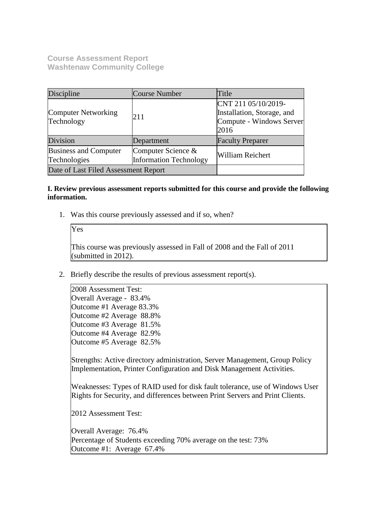**Course Assessment Report Washtenaw Community College**

| Discipline                                   | <b>Course Number</b>                                | Title                                                                                 |  |
|----------------------------------------------|-----------------------------------------------------|---------------------------------------------------------------------------------------|--|
| Computer Networking<br>Technology            | 211                                                 | CNT 211 05/10/2019-<br>Installation, Storage, and<br>Compute - Windows Server<br>2016 |  |
| Division                                     | Department                                          | <b>Faculty Preparer</b>                                                               |  |
| <b>Business and Computer</b><br>Technologies | Computer Science &<br><b>Information Technology</b> | <b>William Reichert</b>                                                               |  |
| Date of Last Filed Assessment Report         |                                                     |                                                                                       |  |

# **I. Review previous assessment reports submitted for this course and provide the following information.**

1. Was this course previously assessed and if so, when?

Yes

This course was previously assessed in Fall of 2008 and the Fall of 2011 (submitted in 2012).

2. Briefly describe the results of previous assessment report(s).

2008 Assessment Test: Overall Average - 83.4% Outcome #1 Average 83.3% Outcome #2 Average 88.8% Outcome #3 Average 81.5% Outcome #4 Average 82.9% Outcome #5 Average 82.5%

Strengths: Active directory administration, Server Management, Group Policy Implementation, Printer Configuration and Disk Management Activities.

Weaknesses: Types of RAID used for disk fault tolerance, use of Windows User Rights for Security, and differences between Print Servers and Print Clients.

2012 Assessment Test:

Overall Average: 76.4% Percentage of Students exceeding 70% average on the test: 73% Outcome #1: Average 67.4%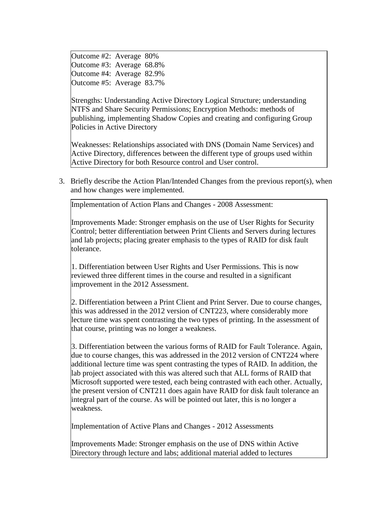Outcome #2: Average 80% Outcome #3: Average 68.8% Outcome #4: Average 82.9% Outcome #5: Average 83.7%

Strengths: Understanding Active Directory Logical Structure; understanding NTFS and Share Security Permissions; Encryption Methods: methods of publishing, implementing Shadow Copies and creating and configuring Group Policies in Active Directory

Weaknesses: Relationships associated with DNS (Domain Name Services) and Active Directory, differences between the different type of groups used within Active Directory for both Resource control and User control.

3. Briefly describe the Action Plan/Intended Changes from the previous report(s), when and how changes were implemented.

Implementation of Action Plans and Changes - 2008 Assessment:

Improvements Made: Stronger emphasis on the use of User Rights for Security Control; better differentiation between Print Clients and Servers during lectures and lab projects; placing greater emphasis to the types of RAID for disk fault tolerance.

1. Differentiation between User Rights and User Permissions. This is now reviewed three different times in the course and resulted in a significant improvement in the 2012 Assessment.

2. Differentiation between a Print Client and Print Server. Due to course changes, this was addressed in the 2012 version of CNT223, where considerably more lecture time was spent contrasting the two types of printing. In the assessment of that course, printing was no longer a weakness.

3. Differentiation between the various forms of RAID for Fault Tolerance. Again, due to course changes, this was addressed in the 2012 version of CNT224 where additional lecture time was spent contrasting the types of RAID. In addition, the lab project associated with this was altered such that ALL forms of RAID that Microsoft supported were tested, each being contrasted with each other. Actually, the present version of CNT211 does again have RAID for disk fault tolerance an integral part of the course. As will be pointed out later, this is no longer a weakness.

Implementation of Active Plans and Changes - 2012 Assessments

Improvements Made: Stronger emphasis on the use of DNS within Active Directory through lecture and labs; additional material added to lectures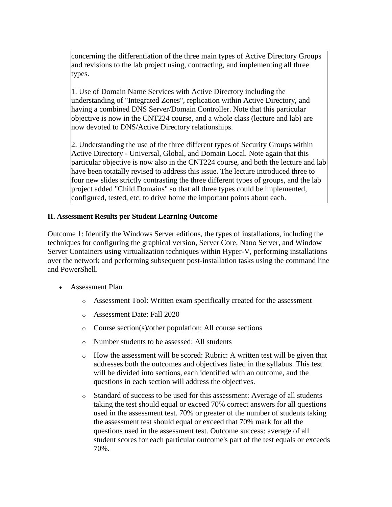concerning the differentiation of the three main types of Active Directory Groups and revisions to the lab project using, contracting, and implementing all three types.

1. Use of Domain Name Services with Active Directory including the understanding of "Integrated Zones", replication within Active Directory, and having a combined DNS Server/Domain Controller. Note that this particular objective is now in the CNT224 course, and a whole class (lecture and lab) are now devoted to DNS/Active Directory relationships.

2. Understanding the use of the three different types of Security Groups within Active Directory - Universal, Global, and Domain Local. Note again that this particular objective is now also in the CNT224 course, and both the lecture and lab have been totatally revised to address this issue. The lecture introduced three to four new slides strictly contrasting the three different types of groups, and the lab project added "Child Domains" so that all three types could be implemented, configured, tested, etc. to drive home the important points about each.

# **II. Assessment Results per Student Learning Outcome**

Outcome 1: Identify the Windows Server editions, the types of installations, including the techniques for configuring the graphical version, Server Core, Nano Server, and Window Server Containers using virtualization techniques within Hyper-V, performing installations over the network and performing subsequent post-installation tasks using the command line and PowerShell.

- Assessment Plan
	- o Assessment Tool: Written exam specifically created for the assessment
	- o Assessment Date: Fall 2020
	- o Course section(s)/other population: All course sections
	- o Number students to be assessed: All students
	- o How the assessment will be scored: Rubric: A written test will be given that addresses both the outcomes and objectives listed in the syllabus. This test will be divided into sections, each identified with an outcome, and the questions in each section will address the objectives.
	- o Standard of success to be used for this assessment: Average of all students taking the test should equal or exceed 70% correct answers for all questions used in the assessment test. 70% or greater of the number of students taking the assessment test should equal or exceed that 70% mark for all the questions used in the assessment test. Outcome success: average of all student scores for each particular outcome's part of the test equals or exceeds 70%.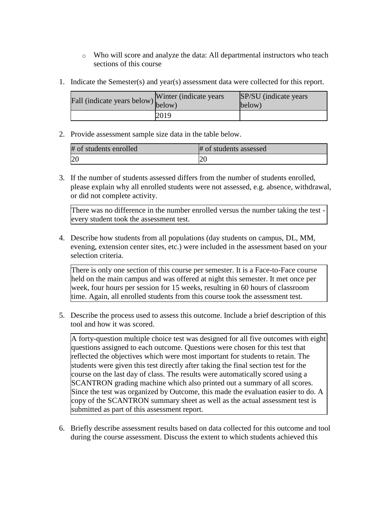- o Who will score and analyze the data: All departmental instructors who teach sections of this course
- 1. Indicate the Semester(s) and year(s) assessment data were collected for this report.

| Fall (indicate years below) $\begin{bmatrix}$ while | Winter (indicate years) | SP/SU (indicate years)<br>below) |
|-----------------------------------------------------|-------------------------|----------------------------------|
|                                                     | 2019                    |                                  |

2. Provide assessment sample size data in the table below.

| # of students enrolled | # of students assessed |
|------------------------|------------------------|
| 20                     |                        |

3. If the number of students assessed differs from the number of students enrolled, please explain why all enrolled students were not assessed, e.g. absence, withdrawal, or did not complete activity.

There was no difference in the number enrolled versus the number taking the test every student took the assessment test.

4. Describe how students from all populations (day students on campus, DL, MM, evening, extension center sites, etc.) were included in the assessment based on your selection criteria.

There is only one section of this course per semester. It is a Face-to-Face course held on the main campus and was offered at night this semester. It met once per week, four hours per session for 15 weeks, resulting in 60 hours of classroom time. Again, all enrolled students from this course took the assessment test.

5. Describe the process used to assess this outcome. Include a brief description of this tool and how it was scored.

A forty-question multiple choice test was designed for all five outcomes with eight questions assigned to each outcome. Questions were chosen for this test that reflected the objectives which were most important for students to retain. The students were given this test directly after taking the final section test for the course on the last day of class. The results were automatically scored using a SCANTRON grading machine which also printed out a summary of all scores. Since the test was organized by Outcome, this made the evaluation easier to do. A copy of the SCANTRON summary sheet as well as the actual assessment test is submitted as part of this assessment report.

6. Briefly describe assessment results based on data collected for this outcome and tool during the course assessment. Discuss the extent to which students achieved this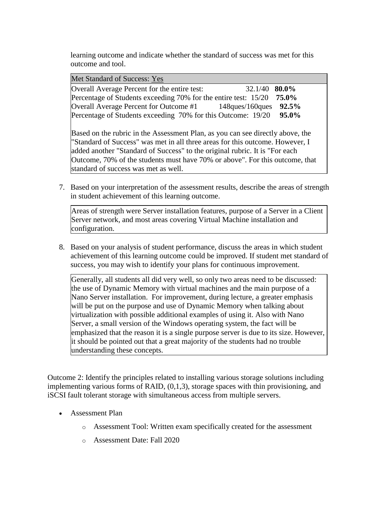learning outcome and indicate whether the standard of success was met for this outcome and tool.

| Met Standard of Success: Yes                                                   |               |
|--------------------------------------------------------------------------------|---------------|
| Overall Average Percent for the entire test:                                   | 32.1/40 80.0% |
| Percentage of Students exceeding 70% for the entire test: 15/20                | 75.0%         |
| Overall Average Percent for Outcome #1 148ques/160ques                         | 92.5%         |
| Percentage of Students exceeding 70% for this Outcome: 19/20                   | 95.0%         |
|                                                                                |               |
| Based on the rubric in the Assessment Plan, as you can see directly above, the |               |
| "Standard of Success" was met in all three areas for this outcome. However, I  |               |
| added another "Standard of Success" to the original rubric. It is "For each    |               |
| Outcome, 70% of the students must have 70% or above". For this outcome, that   |               |
| standard of success was met as well.                                           |               |

7. Based on your interpretation of the assessment results, describe the areas of strength in student achievement of this learning outcome.

Areas of strength were Server installation features, purpose of a Server in a Client Server network, and most areas covering Virtual Machine installation and configuration.

8. Based on your analysis of student performance, discuss the areas in which student achievement of this learning outcome could be improved. If student met standard of success, you may wish to identify your plans for continuous improvement.

Generally, all students all did very well, so only two areas need to be discussed: the use of Dynamic Memory with virtual machines and the main purpose of a Nano Server installation. For improvement, during lecture, a greater emphasis will be put on the purpose and use of Dynamic Memory when talking about virtualization with possible additional examples of using it. Also with Nano Server, a small version of the Windows operating system, the fact will be emphasized that the reason it is a single purpose server is due to its size. However, it should be pointed out that a great majority of the students had no trouble understanding these concepts.

Outcome 2: Identify the principles related to installing various storage solutions including implementing various forms of RAID, (0,1,3), storage spaces with thin provisioning, and iSCSI fault tolerant storage with simultaneous access from multiple servers.

- Assessment Plan
	- o Assessment Tool: Written exam specifically created for the assessment
	- o Assessment Date: Fall 2020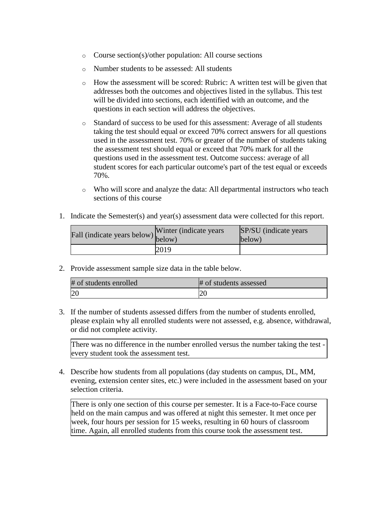- o Course section(s)/other population: All course sections
- o Number students to be assessed: All students
- o How the assessment will be scored: Rubric: A written test will be given that addresses both the outcomes and objectives listed in the syllabus. This test will be divided into sections, each identified with an outcome, and the questions in each section will address the objectives.
- o Standard of success to be used for this assessment: Average of all students taking the test should equal or exceed 70% correct answers for all questions used in the assessment test. 70% or greater of the number of students taking the assessment test should equal or exceed that 70% mark for all the questions used in the assessment test. Outcome success: average of all student scores for each particular outcome's part of the test equal or exceeds 70%.
- o Who will score and analyze the data: All departmental instructors who teach sections of this course
- 1. Indicate the Semester(s) and year(s) assessment data were collected for this report.

| Fall (indicate years below) below) | Winter (indicate years) | SP/SU (indicate years)<br>below) |
|------------------------------------|-------------------------|----------------------------------|
|                                    | 2019                    |                                  |

2. Provide assessment sample size data in the table below.

| # of students enrolled | # of students assessed |
|------------------------|------------------------|
| 20                     |                        |

3. If the number of students assessed differs from the number of students enrolled, please explain why all enrolled students were not assessed, e.g. absence, withdrawal, or did not complete activity.

There was no difference in the number enrolled versus the number taking the test every student took the assessment test.

4. Describe how students from all populations (day students on campus, DL, MM, evening, extension center sites, etc.) were included in the assessment based on your selection criteria.

There is only one section of this course per semester. It is a Face-to-Face course held on the main campus and was offered at night this semester. It met once per week, four hours per session for 15 weeks, resulting in 60 hours of classroom time. Again, all enrolled students from this course took the assessment test.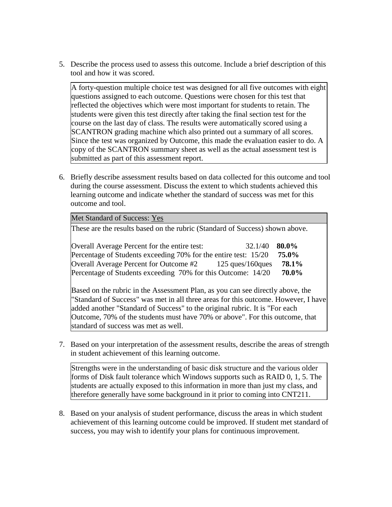5. Describe the process used to assess this outcome. Include a brief description of this tool and how it was scored.

A forty-question multiple choice test was designed for all five outcomes with eight questions assigned to each outcome. Questions were chosen for this test that reflected the objectives which were most important for students to retain. The students were given this test directly after taking the final section test for the course on the last day of class. The results were automatically scored using a SCANTRON grading machine which also printed out a summary of all scores. Since the test was organized by Outcome, this made the evaluation easier to do. A copy of the SCANTRON summary sheet as well as the actual assessment test is submitted as part of this assessment report.

6. Briefly describe assessment results based on data collected for this outcome and tool during the course assessment. Discuss the extent to which students achieved this learning outcome and indicate whether the standard of success was met for this outcome and tool.

| Met Standard of Success: Yes                                                                                                                                                                                                                |         |                                  |
|---------------------------------------------------------------------------------------------------------------------------------------------------------------------------------------------------------------------------------------------|---------|----------------------------------|
| These are the results based on the rubric (Standard of Success) shown above.                                                                                                                                                                |         |                                  |
| Overall Average Percent for the entire test:<br>Percentage of Students exceeding 70% for the entire test: 15/20<br>Overall Average Percent for Outcome #2 125 ques/160 ques<br>Percentage of Students exceeding 70% for this Outcome: 14/20 | 32.1/40 | 80.0%<br>75.0%<br>78.1%<br>70.0% |
| Based on the rubric in the Assessment Plan, as you can see directly above, the<br>"Standard of Success" was met in all three areas for this outcome. However, I have                                                                        |         |                                  |

added another "Standard of Success" to the original rubric. It is "For each Outcome, 70% of the students must have 70% or above". For this outcome, that standard of success was met as well.

7. Based on your interpretation of the assessment results, describe the areas of strength in student achievement of this learning outcome.

Strengths were in the understanding of basic disk structure and the various older forms of Disk fault tolerance which Windows supports such as RAID 0, 1, 5. The students are actually exposed to this information in more than just my class, and therefore generally have some background in it prior to coming into CNT211.

8. Based on your analysis of student performance, discuss the areas in which student achievement of this learning outcome could be improved. If student met standard of success, you may wish to identify your plans for continuous improvement.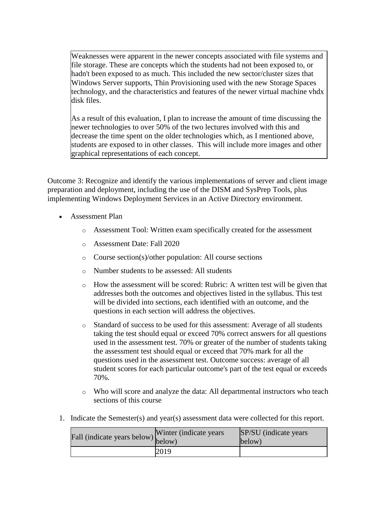Weaknesses were apparent in the newer concepts associated with file systems and file storage. These are concepts which the students had not been exposed to, or hadn't been exposed to as much. This included the new sector/cluster sizes that Windows Server supports, Thin Provisioning used with the new Storage Spaces technology, and the characteristics and features of the newer virtual machine vhdx disk files.

As a result of this evaluation, I plan to increase the amount of time discussing the newer technologies to over 50% of the two lectures involved with this and decrease the time spent on the older technologies which, as I mentioned above, students are exposed to in other classes. This will include more images and other graphical representations of each concept.

Outcome 3: Recognize and identify the various implementations of server and client image preparation and deployment, including the use of the DISM and SysPrep Tools, plus implementing Windows Deployment Services in an Active Directory environment.

- Assessment Plan
	- o Assessment Tool: Written exam specifically created for the assessment
	- o Assessment Date: Fall 2020
	- o Course section(s)/other population: All course sections
	- o Number students to be assessed: All students
	- o How the assessment will be scored: Rubric: A written test will be given that addresses both the outcomes and objectives listed in the syllabus. This test will be divided into sections, each identified with an outcome, and the questions in each section will address the objectives.
	- o Standard of success to be used for this assessment: Average of all students taking the test should equal or exceed 70% correct answers for all questions used in the assessment test. 70% or greater of the number of students taking the assessment test should equal or exceed that 70% mark for all the questions used in the assessment test. Outcome success: average of all student scores for each particular outcome's part of the test equal or exceeds 70%.
	- o Who will score and analyze the data: All departmental instructors who teach sections of this course
- 1. Indicate the Semester(s) and year(s) assessment data were collected for this report.

| Fall (indicate years below) below) | Winter (indicate years) | SP/SU (indicate years)<br>below) |
|------------------------------------|-------------------------|----------------------------------|
|                                    | 2019                    |                                  |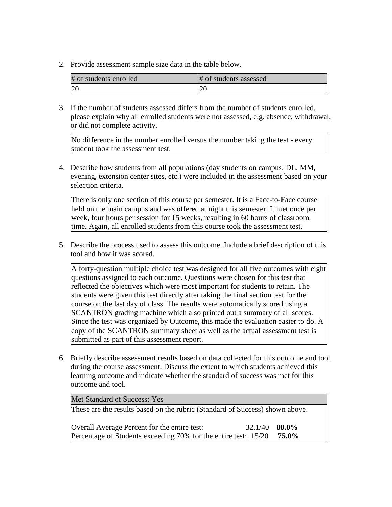2. Provide assessment sample size data in the table below.

| # of students enrolled | # of students assessed |
|------------------------|------------------------|
|                        |                        |

3. If the number of students assessed differs from the number of students enrolled, please explain why all enrolled students were not assessed, e.g. absence, withdrawal, or did not complete activity.

No difference in the number enrolled versus the number taking the test - every student took the assessment test.

4. Describe how students from all populations (day students on campus, DL, MM, evening, extension center sites, etc.) were included in the assessment based on your selection criteria.

There is only one section of this course per semester. It is a Face-to-Face course held on the main campus and was offered at night this semester. It met once per week, four hours per session for 15 weeks, resulting in 60 hours of classroom time. Again, all enrolled students from this course took the assessment test.

5. Describe the process used to assess this outcome. Include a brief description of this tool and how it was scored.

A forty-question multiple choice test was designed for all five outcomes with eight questions assigned to each outcome. Questions were chosen for this test that reflected the objectives which were most important for students to retain. The students were given this test directly after taking the final section test for the course on the last day of class. The results were automatically scored using a SCANTRON grading machine which also printed out a summary of all scores. Since the test was organized by Outcome, this made the evaluation easier to do. A copy of the SCANTRON summary sheet as well as the actual assessment test is submitted as part of this assessment report.

6. Briefly describe assessment results based on data collected for this outcome and tool during the course assessment. Discuss the extent to which students achieved this learning outcome and indicate whether the standard of success was met for this outcome and tool.

| Met Standard of Success: Yes                                                 |       |
|------------------------------------------------------------------------------|-------|
| These are the results based on the rubric (Standard of Success) shown above. |       |
|                                                                              |       |
| Overall Average Percent for the entire test:<br>$32.1/40$ 80.0%              |       |
| Percentage of Students exceeding 70% for the entire test: 15/20              | 75.0% |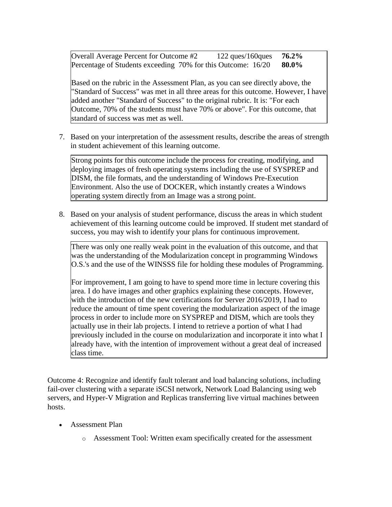Overall Average Percent for Outcome #2 122 ques/160ques **76.2%** Percentage of Students exceeding 70% for this Outcome: 16/20 **80.0%**

Based on the rubric in the Assessment Plan, as you can see directly above, the "Standard of Success" was met in all three areas for this outcome. However, I have added another "Standard of Success" to the original rubric. It is: "For each Outcome, 70% of the students must have 70% or above". For this outcome, that standard of success was met as well.

7. Based on your interpretation of the assessment results, describe the areas of strength in student achievement of this learning outcome.

Strong points for this outcome include the process for creating, modifying, and deploying images of fresh operating systems including the use of SYSPREP and DISM, the file formats, and the understanding of Windows Pre-Execution Environment. Also the use of DOCKER, which instantly creates a Windows operating system directly from an Image was a strong point.

8. Based on your analysis of student performance, discuss the areas in which student achievement of this learning outcome could be improved. If student met standard of success, you may wish to identify your plans for continuous improvement.

There was only one really weak point in the evaluation of this outcome, and that was the understanding of the Modularization concept in programming Windows O.S.'s and the use of the WINSSS file for holding these modules of Programming.

For improvement, I am going to have to spend more time in lecture covering this area. I do have images and other graphics explaining these concepts. However, with the introduction of the new certifications for Server 2016/2019, I had to reduce the amount of time spent covering the modularization aspect of the image process in order to include more on SYSPREP and DISM, which are tools they actually use in their lab projects. I intend to retrieve a portion of what I had previously included in the course on modularization and incorporate it into what I already have, with the intention of improvement without a great deal of increased class time.

Outcome 4: Recognize and identify fault tolerant and load balancing solutions, including fail-over clustering with a separate iSCSI network, Network Load Balancing using web servers, and Hyper-V Migration and Replicas transferring live virtual machines between hosts.

- Assessment Plan
	- o Assessment Tool: Written exam specifically created for the assessment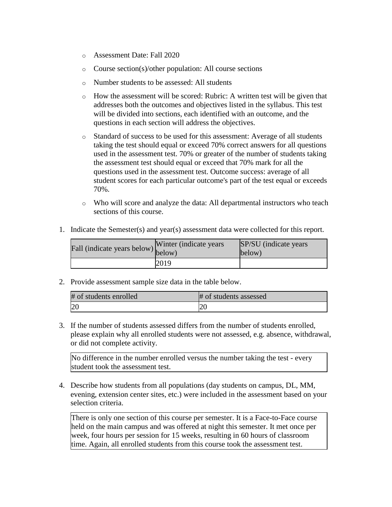- o Assessment Date: Fall 2020
- o Course section(s)/other population: All course sections
- o Number students to be assessed: All students
- o How the assessment will be scored: Rubric: A written test will be given that addresses both the outcomes and objectives listed in the syllabus. This test will be divided into sections, each identified with an outcome, and the questions in each section will address the objectives.
- o Standard of success to be used for this assessment: Average of all students taking the test should equal or exceed 70% correct answers for all questions used in the assessment test. 70% or greater of the number of students taking the assessment test should equal or exceed that 70% mark for all the questions used in the assessment test. Outcome success: average of all student scores for each particular outcome's part of the test equal or exceeds 70%.
- o Who will score and analyze the data: All departmental instructors who teach sections of this course.
- 1. Indicate the Semester(s) and year(s) assessment data were collected for this report.

| Fall (indicate years below) below) | Winter (indicate years) | SP/SU (indicate years)<br>below) |
|------------------------------------|-------------------------|----------------------------------|
|                                    | 2019                    |                                  |

2. Provide assessment sample size data in the table below.

| # of students enrolled | # of students assessed |
|------------------------|------------------------|
| 20                     |                        |

3. If the number of students assessed differs from the number of students enrolled, please explain why all enrolled students were not assessed, e.g. absence, withdrawal, or did not complete activity.

No difference in the number enrolled versus the number taking the test - every student took the assessment test.

4. Describe how students from all populations (day students on campus, DL, MM, evening, extension center sites, etc.) were included in the assessment based on your selection criteria.

There is only one section of this course per semester. It is a Face-to-Face course held on the main campus and was offered at night this semester. It met once per week, four hours per session for 15 weeks, resulting in 60 hours of classroom time. Again, all enrolled students from this course took the assessment test.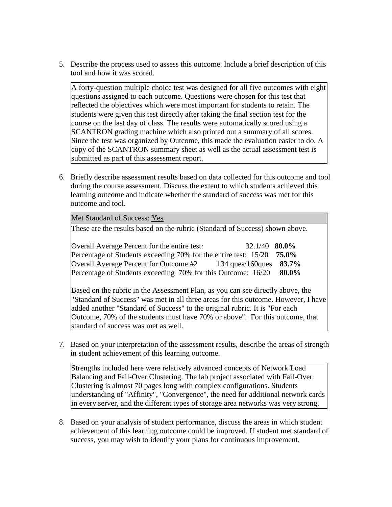5. Describe the process used to assess this outcome. Include a brief description of this tool and how it was scored.

A forty-question multiple choice test was designed for all five outcomes with eight questions assigned to each outcome. Questions were chosen for this test that reflected the objectives which were most important for students to retain. The students were given this test directly after taking the final section test for the course on the last day of class. The results were automatically scored using a SCANTRON grading machine which also printed out a summary of all scores. Since the test was organized by Outcome, this made the evaluation easier to do. A copy of the SCANTRON summary sheet as well as the actual assessment test is submitted as part of this assessment report.

6. Briefly describe assessment results based on data collected for this outcome and tool during the course assessment. Discuss the extent to which students achieved this learning outcome and indicate whether the standard of success was met for this outcome and tool.

| Met Standard of Success: Yes                                                                                                                                                                                                                |                                                 |
|---------------------------------------------------------------------------------------------------------------------------------------------------------------------------------------------------------------------------------------------|-------------------------------------------------|
| These are the results based on the rubric (Standard of Success) shown above.                                                                                                                                                                |                                                 |
| Overall Average Percent for the entire test:<br>Percentage of Students exceeding 70% for the entire test: 15/20<br>Overall Average Percent for Outcome #2 134 ques/160 ques<br>Percentage of Students exceeding 70% for this Outcome: 16/20 | 32.1/40 <b>80.0%</b><br>75.0%<br>83.7%<br>80.0% |
| Based on the rubric in the Assessment Plan, as you can see directly above, the<br>"Standard of Success" was met in all three areas for this outcome. However, I have                                                                        |                                                 |

added another "Standard of Success" to the original rubric. It is "For each Outcome, 70% of the students must have 70% or above". For this outcome, that standard of success was met as well.

7. Based on your interpretation of the assessment results, describe the areas of strength in student achievement of this learning outcome.

Strengths included here were relatively advanced concepts of Network Load Balancing and Fail-Over Clustering. The lab project associated with Fail-Over Clustering is almost 70 pages long with complex configurations. Students understanding of "Affinity", "Convergence", the need for additional network cards in every server, and the different types of storage area networks was very strong.

8. Based on your analysis of student performance, discuss the areas in which student achievement of this learning outcome could be improved. If student met standard of success, you may wish to identify your plans for continuous improvement.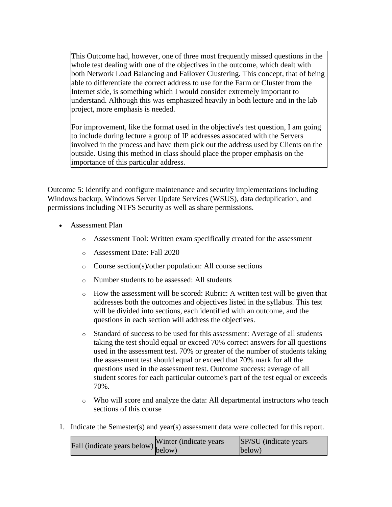This Outcome had, however, one of three most frequently missed questions in the whole test dealing with one of the objectives in the outcome, which dealt with both Network Load Balancing and Failover Clustering. This concept, that of being able to differentiate the correct address to use for the Farm or Cluster from the Internet side, is something which I would consider extremely important to understand. Although this was emphasized heavily in both lecture and in the lab project, more emphasis is needed.

For improvement, like the format used in the objective's test question, I am going to include during lecture a group of IP addresses assocated with the Servers involved in the process and have them pick out the address used by Clients on the outside. Using this method in class should place the proper emphasis on the importance of this particular address.

Outcome 5: Identify and configure maintenance and security implementations including Windows backup, Windows Server Update Services (WSUS), data deduplication, and permissions including NTFS Security as well as share permissions.

- Assessment Plan
	- o Assessment Tool: Written exam specifically created for the assessment
	- o Assessment Date: Fall 2020
	- o Course section(s)/other population: All course sections
	- o Number students to be assessed: All students
	- o How the assessment will be scored: Rubric: A written test will be given that addresses both the outcomes and objectives listed in the syllabus. This test will be divided into sections, each identified with an outcome, and the questions in each section will address the objectives.
	- o Standard of success to be used for this assessment: Average of all students taking the test should equal or exceed 70% correct answers for all questions used in the assessment test. 70% or greater of the number of students taking the assessment test should equal or exceed that 70% mark for all the questions used in the assessment test. Outcome success: average of all student scores for each particular outcome's part of the test equal or exceeds 70%.
	- o Who will score and analyze the data: All departmental instructors who teach sections of this course
- 1. Indicate the Semester(s) and year(s) assessment data were collected for this report.

| $\text{unit}$ (indicate years below) Winter (indicate years | SP/SU (indicate years) |
|-------------------------------------------------------------|------------------------|
|                                                             | below)                 |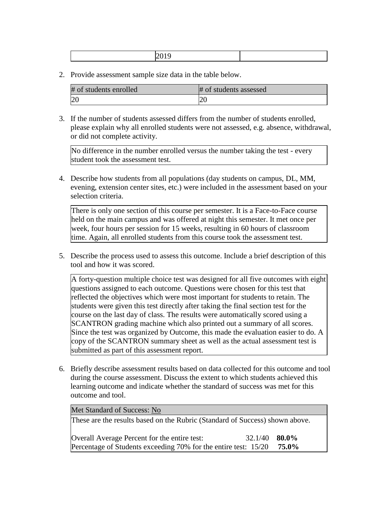|--|--|--|

2. Provide assessment sample size data in the table below.

| # of students enrolled | # of students assessed |
|------------------------|------------------------|
| 20                     | ∠U                     |

3. If the number of students assessed differs from the number of students enrolled, please explain why all enrolled students were not assessed, e.g. absence, withdrawal, or did not complete activity.

No difference in the number enrolled versus the number taking the test - every student took the assessment test.

4. Describe how students from all populations (day students on campus, DL, MM, evening, extension center sites, etc.) were included in the assessment based on your selection criteria.

There is only one section of this course per semester. It is a Face-to-Face course held on the main campus and was offered at night this semester. It met once per week, four hours per session for 15 weeks, resulting in 60 hours of classroom time. Again, all enrolled students from this course took the assessment test.

5. Describe the process used to assess this outcome. Include a brief description of this tool and how it was scored.

A forty-question multiple choice test was designed for all five outcomes with eight questions assigned to each outcome. Questions were chosen for this test that reflected the objectives which were most important for students to retain. The students were given this test directly after taking the final section test for the course on the last day of class. The results were automatically scored using a SCANTRON grading machine which also printed out a summary of all scores. Since the test was organized by Outcome, this made the evaluation easier to do. A copy of the SCANTRON summary sheet as well as the actual assessment test is submitted as part of this assessment report.

6. Briefly describe assessment results based on data collected for this outcome and tool during the course assessment. Discuss the extent to which students achieved this learning outcome and indicate whether the standard of success was met for this outcome and tool.

| Met Standard of Success: No                                                  |                 |       |
|------------------------------------------------------------------------------|-----------------|-------|
| These are the results based on the Rubric (Standard of Success) shown above. |                 |       |
| Overall Average Percent for the entire test:                                 | $32.1/40$ 80.0% |       |
| Percentage of Students exceeding 70% for the entire test: 15/20              |                 | 75.0% |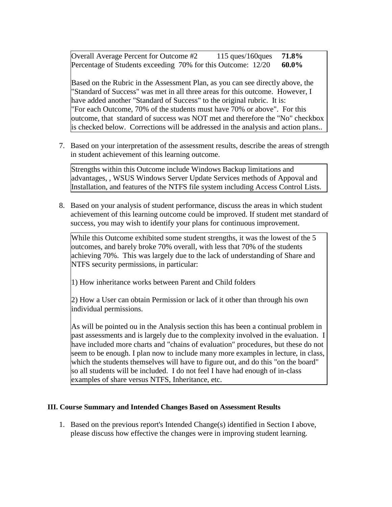Overall Average Percent for Outcome #2 115 ques/160ques **71.8%** Percentage of Students exceeding 70% for this Outcome: 12/20 **60.0%**

Based on the Rubric in the Assessment Plan, as you can see directly above, the "Standard of Success" was met in all three areas for this outcome. However, I have added another "Standard of Success" to the original rubric. It is: "For each Outcome, 70% of the students must have 70% or above". For this outcome, that standard of success was NOT met and therefore the "No" checkbox is checked below. Corrections will be addressed in the analysis and action plans..

7. Based on your interpretation of the assessment results, describe the areas of strength in student achievement of this learning outcome.

Strengths within this Outcome include Windows Backup limitations and advantages, , WSUS Windows Server Update Services methods of Appoval and Installation, and features of the NTFS file system including Access Control Lists.

8. Based on your analysis of student performance, discuss the areas in which student achievement of this learning outcome could be improved. If student met standard of success, you may wish to identify your plans for continuous improvement.

While this Outcome exhibited some student strengths, it was the lowest of the 5 outcomes, and barely broke 70% overall, with less that 70% of the students achieving 70%. This was largely due to the lack of understanding of Share and NTFS security permissions, in particular:

1) How inheritance works between Parent and Child folders

2) How a User can obtain Permission or lack of it other than through his own individual permissions.

As will be pointed ou in the Analysis section this has been a continual problem in past assessments and is largely due to the complexity involved in the evaluation. I have included more charts and "chains of evaluation" procedures, but these do not seem to be enough. I plan now to include many more examples in lecture, in class, which the students themselves will have to figure out, and do this "on the board" so all students will be included. I do not feel I have had enough of in-class examples of share versus NTFS, Inheritance, etc.

# **III. Course Summary and Intended Changes Based on Assessment Results**

1. Based on the previous report's Intended Change(s) identified in Section I above, please discuss how effective the changes were in improving student learning.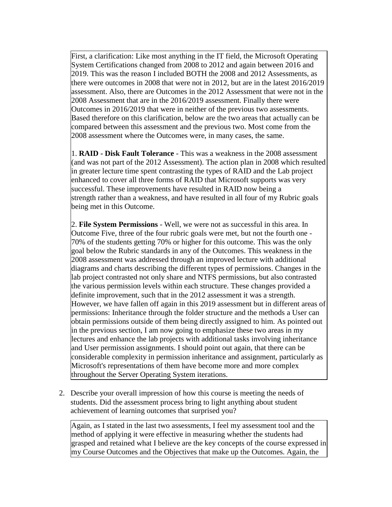First, a clarification: Like most anything in the IT field, the Microsoft Operating System Certifications changed from 2008 to 2012 and again between 2016 and 2019. This was the reason I included BOTH the 2008 and 2012 Assessments, as there were outcomes in 2008 that were not in 2012, but are in the latest 2016/2019 assessment. Also, there are Outcomes in the 2012 Assessment that were not in the 2008 Assessment that are in the 2016/2019 assessment. Finally there were Outcomes in 2016/2019 that were in neither of the previous two assessments. Based therefore on this clarification, below are the two areas that actually can be compared between this assessment and the previous two. Most come from the 2008 assessment where the Outcomes were, in many cases, the same.

1. **RAID - Disk Fault Tolerance** - This was a weakness in the 2008 assessment (and was not part of the 2012 Assessment). The action plan in 2008 which resulted in greater lecture time spent contrasting the types of RAID and the Lab project enhanced to cover all three forms of RAID that Microsoft supports was very successful. These improvements have resulted in RAID now being a strength rather than a weakness, and have resulted in all four of my Rubric goals being met in this Outcome.

2. **File System Permissions** - Well, we were not as successful in this area. In Outcome Five, three of the four rubric goals were met, but not the fourth one - 70% of the students getting 70% or higher for this outcome. This was the only goal below the Rubric standards in any of the Outcomes. This weakness in the 2008 assessment was addressed through an improved lecture with additional diagrams and charts describing the different types of permissions. Changes in the lab project contrasted not only share and NTFS permissions, but also contrasted the various permission levels within each structure. These changes provided a definite improvement, such that in the 2012 assessment it was a strength. However, we have fallen off again in this 2019 assessment but in different areas of permissions: Inheritance through the folder structure and the methods a User can obtain permissions outside of them being directly assigned to him*.* As pointed out in the previous section, I am now going to emphasize these two areas in my lectures and enhance the lab projects with additional tasks involving inheritance and User permission assignments. I should point out again, that there can be considerable complexity in permission inheritance and assignment, particularly as Microsoft's representations of them have become more and more complex throughout the Server Operating System iterations.

2. Describe your overall impression of how this course is meeting the needs of students. Did the assessment process bring to light anything about student achievement of learning outcomes that surprised you?

Again, as I stated in the last two assessments, I feel my assessment tool and the method of applying it were effective in measuring whether the students had grasped and retained what I believe are the key concepts of the course expressed in my Course Outcomes and the Objectives that make up the Outcomes. Again, the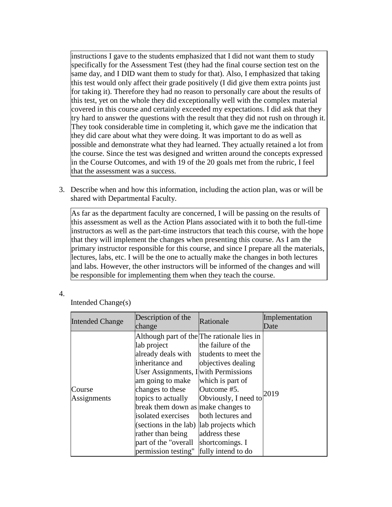instructions I gave to the students emphasized that I did not want them to study specifically for the Assessment Test (they had the final course section test on the same day, and I DID want them to study for that). Also, I emphasized that taking this test would only affect their grade positively (I did give them extra points just for taking it). Therefore they had no reason to personally care about the results of this test, yet on the whole they did exceptionally well with the complex material covered in this course and certainly exceeded my expectations. I did ask that they try hard to answer the questions with the result that they did not rush on through it. They took considerable time in completing it, which gave me the indication that they did care about what they were doing. It was important to do as well as possible and demonstrate what they had learned. They actually retained a lot from the course. Since the test was designed and written around the concepts expressed in the Course Outcomes, and with 19 of the 20 goals met from the rubric, I feel that the assessment was a success.

3. Describe when and how this information, including the action plan, was or will be shared with Departmental Faculty.

As far as the department faculty are concerned, I will be passing on the results of this assessment as well as the Action Plans associated with it to both the full-time instructors as well as the part-time instructors that teach this course, with the hope that they will implement the changes when presenting this course. As I am the primary instructor responsible for this course, and since I prepare all the materials, lectures, labs, etc. I will be the one to actually make the changes in both lectures and labs. However, the other instructors will be informed of the changes and will be responsible for implementing them when they teach the course.

4.

Intended Change(s)

| <b>Intended Change</b> | Description of the<br>change                                                                                                                                                                                                                                                                                                                                                            | Rationale                                                                                                                                                                                                  | Implementation<br>Date |
|------------------------|-----------------------------------------------------------------------------------------------------------------------------------------------------------------------------------------------------------------------------------------------------------------------------------------------------------------------------------------------------------------------------------------|------------------------------------------------------------------------------------------------------------------------------------------------------------------------------------------------------------|------------------------|
| Course<br>Assignments  | Although part of the The rationale lies in<br>lab project<br>already deals with<br>inheritance and<br>User Assignments, I with Permissions<br>am going to make<br>changes to these<br>topics to actually<br>break them down as make changes to<br>isolated exercises<br>(sections in the lab)   lab projects which<br>rather than being<br>part of the "overall"<br>permission testing" | the failure of the<br>students to meet the<br>objectives dealing<br>which is part of<br>Outcome #5.<br>Obviously, I need to<br>both lectures and<br>address these<br>shortcomings. I<br>fully intend to do | 2019                   |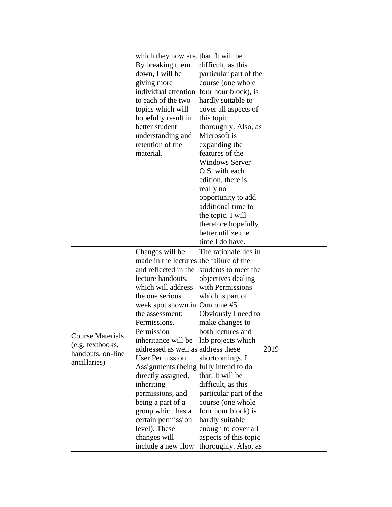|                         | which they now are that. It will be     |                        |      |
|-------------------------|-----------------------------------------|------------------------|------|
|                         | By breaking them                        | difficult, as this     |      |
|                         | down, I will be                         | particular part of the |      |
|                         | giving more                             | course (one whole      |      |
|                         | individual attention                    | four hour block), is   |      |
|                         | to each of the two                      | hardly suitable to     |      |
|                         | topics which will                       | cover all aspects of   |      |
|                         | hopefully result in                     | this topic             |      |
|                         | better student                          | thoroughly. Also, as   |      |
|                         | understanding and                       | Microsoft is           |      |
|                         | retention of the                        | expanding the          |      |
|                         | material.                               | features of the        |      |
|                         |                                         | <b>Windows Server</b>  |      |
|                         |                                         | O.S. with each         |      |
|                         |                                         | edition, there is      |      |
|                         |                                         | really no              |      |
|                         |                                         | opportunity to add     |      |
|                         |                                         | additional time to     |      |
|                         |                                         | the topic. I will      |      |
|                         |                                         | therefore hopefully    |      |
|                         |                                         | better utilize the     |      |
|                         |                                         | time I do have.        |      |
|                         | Changes will be                         | The rationale lies in  |      |
|                         | made in the lectures the failure of the |                        |      |
|                         | and reflected in the                    | students to meet the   |      |
|                         |                                         |                        |      |
|                         | lecture handouts,<br>which will address | objectives dealing     |      |
|                         |                                         | with Permissions       |      |
|                         | the one serious                         | which is part of       |      |
|                         | week spot shown in Outcome #5.          |                        |      |
|                         | the assessment:                         | Obviously I need to    |      |
|                         | Permissions.                            | make changes to        |      |
| <b>Course Materials</b> | Permission                              | both lectures and      |      |
| (e.g. textbooks,        | inheritance will be                     | lab projects which     |      |
| handouts, on-line       | addressed as well as address these      |                        | 2019 |
| ancillaries)            | <b>User Permission</b>                  | shortcomings. I        |      |
|                         | Assignments (being fully intend to do   |                        |      |
|                         | directly assigned,                      | that. It will be       |      |
|                         | inheriting                              | difficult, as this     |      |
|                         | permissions, and                        | particular part of the |      |
|                         | being a part of a                       | course (one whole      |      |
|                         | group which has a                       | four hour block) is    |      |
|                         | certain permission                      | hardly suitable        |      |
|                         | level). These                           | enough to cover all    |      |
|                         | changes will                            | aspects of this topic  |      |
|                         | include a new flow                      | thoroughly. Also, as   |      |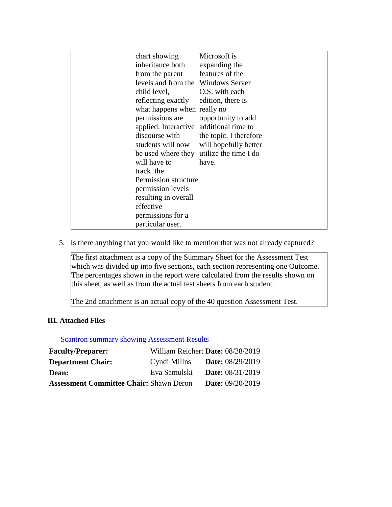| chart showing               | Microsoft is           |  |
|-----------------------------|------------------------|--|
|                             |                        |  |
| inheritance both            | expanding the          |  |
| from the parent             | features of the        |  |
| levels and from the         | <b>Windows Server</b>  |  |
| child level,                | O.S. with each         |  |
| reflecting exactly          | edition, there is      |  |
| what happens when really no |                        |  |
| permissions are             | opportunity to add     |  |
| applied. Interactive        | additional time to     |  |
| discourse with              | the topic. I therefore |  |
| students will now           | will hopefully better  |  |
| be used where they          | utilize the time I do  |  |
| will have to                | have.                  |  |
| track the                   |                        |  |
| Permission structure        |                        |  |
| permission levels           |                        |  |
| resulting in overall        |                        |  |
| effective                   |                        |  |
| permissions for a           |                        |  |
| particular user.            |                        |  |

5. Is there anything that you would like to mention that was not already captured?

The first attachment is a copy of the Summary Sheet for the Assessment Test which was divided up into five sections, each section representing one Outcome. The percentages shown in the report were calculated from the results shown on this sheet, as well as from the actual test sheets from each student.

The 2nd attachment is an actual copy of the 40 question Assessment Test.

# **III. Attached Files**

**[Scantron summary showing Assessment Results](documents/20190430_CNT211_Assessment_Results_Analysis.pdf)** 

| <b>Faculty/Preparer:</b>                       |              | William Reichert Date: 08/28/2019 |
|------------------------------------------------|--------------|-----------------------------------|
| <b>Department Chair:</b>                       | Cyndi Millns | <b>Date:</b> 08/29/2019           |
| <b>Dean:</b>                                   | Eva Samulski | <b>Date:</b> 08/31/2019           |
| <b>Assessment Committee Chair: Shawn Deron</b> |              | <b>Date:</b> 09/20/2019           |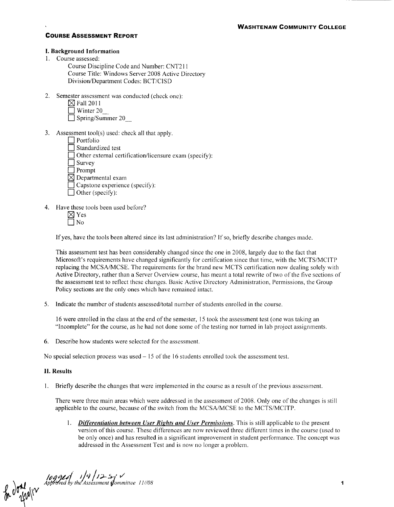# **WASHTENAW COMMUNITY COLLEGE**

# **COURSE ASSESSMENT REPORT**

## I. Background Information

I. Course assessed:

Course Discipline Code and Number: CNT211 Course Title: Windows Server 2008 Active Directory Division/Department Codes: BCT/CISD

2. Semester assessment was conducted (check one):

| $\boxtimes$ Fall 2011 |  |
|-----------------------|--|
|                       |  |

- $\Box$  Winter 20
- $\overline{\Box}$  Spring/Summer 20
- 3. Assessment tool(s) used: check all that apply.

| Portfolio                                              |
|--------------------------------------------------------|
| Standardized test                                      |
| Other external certification/licensure exam (specify): |
| Survey                                                 |
| Prompt                                                 |
| $\boxtimes$ Departmental exam                          |
| $\Box$ Capstone experience (specify):                  |
| Other (specify):                                       |
|                                                        |

- 4. Have these tools been used before?
	- $\boxtimes$  Yes  $\Box$  No

If yes, have the tools been altered since its last administration? If so, briefly describe changes made.

This assessment test has been considerably changed since the one in 2008, largely due to the fact that Microsoft's requirements have changed significantly for certification since that time, with the MCTS/MCITP replacing the MCSA/MCSE. The requirements for the brand new MCTS certification now dealing solely with Active Directory, rather than a Server Overview course, has meant a total rewrite of two of the five sections of the assessment test to reflect these changes. Basic Active Directory Administration, Permissions, the Group Policy sections are the only ones which have remained intact.

5. Indicate the number of students assessed/total number of students enrolled in the course.

16 were enrolled in the class at the end of the semester, 15 took the assessment test (one was taking an "Incomplete" for the course, as he had not done some of the testing nor turned in lab project assignments.

6. Describe how students were selected for the assessment.

No special selection process was used- 15 of the 16 students enrolled took the assessment test.

# II. Results

I. Briefly describe the changes that were implemented in the course as a result of the previous assessment.

There were three main areas which were addressed in the assessment of 2008. Only one of the changes is still applicable to the course, because of the switch from the MCSA/MCSE to the MCTS/MCITP.

I. *Differentiation between User Rights and User Permissions.* This is still applicable to the present version of this course. These differences are now reviewed three different times in the course (used to be only once) and has resulted in a significant improvement in student performance. The concept was addressed in the Assessment Test and is now no longer a problem.

 $\int_{\mathbb{R}} \int_{\mathbb{R}} \int_{\mathbb{R}}^{10}$  approved by the Assessment Committee 11/08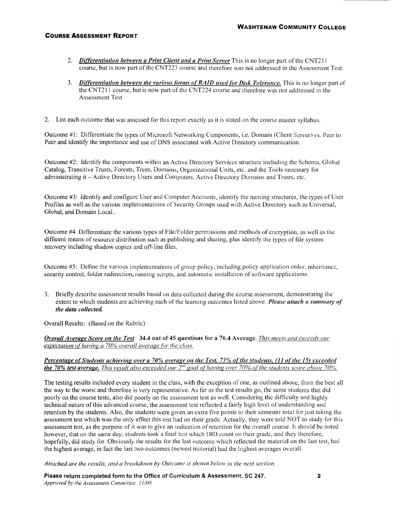- 2. *Differentiation between a Print Client and a Print Server* This is no longer part of the CNT211 course, but is now part of the CNT223 course and therefore was not addressed in the Assessment Test.
- 3. *Differentiation between the various (orms o(RAID used {or Disk Tolerance.* This is no longer part of the CNT211 course, but is now part of the CNT224 course and therefore was not addressed in the Assessment Test
- 2. List each outcome that was assessed for this report exactly as it is stated on the course master syllabus.

Outcome #1: Differentiate the types of Microsoft Networking Components, i.e. Domain (Client Server) vs. Peer to Peer and identify the importance and use of DNS associated with Active Directory communication.

Outcome #2: Identity the components within an Active Directory Services structure including the Schema, Global Catalog, Transitive Trusts, Forests, Trees, Domains, Organizational Units, etc. and the Tools necessary for administrating it - Active Directory Users and Computers, Active Directory Domains and Trusts, etc.

Outcome #3: Identify and configure User and Computer Accounts, identiiy the naming structures, the types of User Profiles as well as the various implementations of Security Groups used with Active Directory such as Universal, Global, and Domain Local..

Outcome #4 Differentiate the various types of File/Folder permissions and methods of encryption, as well as the different means of resource distribution such as publishing and sharing, plus identify the types of file system recovery including shadow copies and off-line tiles.

Outcome #5: Define the various implementations of group policy, including policy application order, inheritance, security control, folder redirection, running scripts, and automatic installation of software applications.

3. Briefly describe assessment results based on data collected during the course assessment, demonstrating the extent to which students are achieving each of the learning outcomes listed above. *Please attach a summary of the data collected.* 

Overall Results: (Based on the Rubric)

*Overall Average Score on the Test:* 34.4 out of 45 questions for a 76.4 Average. *This meets and exceeds our expectation of having a 70% overall average (or the class.* 

### *Percentage of Students achieving over a 70% average on the Test. 73% of the students, (11 of the 15) exceeded the 70% test average. This result also exceeded our 2<sup>nd</sup> goal of having over 70% of the students score above 70%.*

The testing results included every student in the class, with the exception of one, as outlined above, from the best all the way to the worst and therefore is very representative. As far as the test results go, the same students that did poorly on the course tests, also did poorly on the assessment test as well. Considering the difficulty and highly technical nature ofthis advanced course, the assessment test reflected a fairly high level of understanding and retention by the students. Also, the students were given an extra five points to their semester total for just taking the assessment test which was the only effect this test had on their grade. Actually, they were told NOT to study for this assessment test, as the purpose of it was to give an indication of retention for the overall course. It should be noted however, that on the same day, students took a final test which DID count on their grade, and they therefore, hopefully, did study for. Obviously the results for the last outcome which reflected the material on the last test, had the highest average, in fact the last two outcomes (newest material) had the highest averages overall.

*Attached are the results, and a breakdown by Outcome* is *shown below* in *the next section.* 

Please return completed form to the Office of Curriculum & Assessment, SC 247. *Approved by the Assessment Committee 11/08*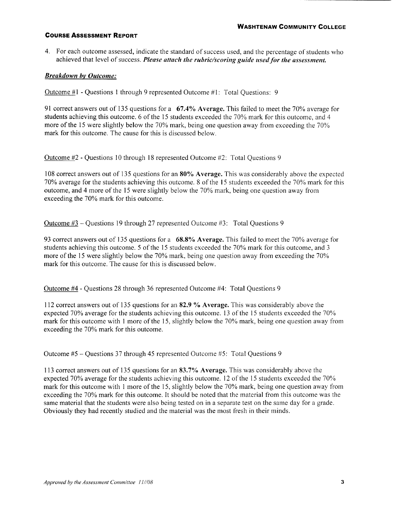4. For each outcome assessed, indicate the standard of success used, and the percentage of students who achieved that level of success. *Please attach the rubric/scoring guide used for the assessment.* 

# *Breakdown hv Outcome:*

Outcome #I -Questions I through 9 represented Outcome #I: Total Questions: 9

91 correct answers out of 135 questions for a 67.4% Average. This failed to meet the 70% average for students achieving this outcome. 6 of the 15 students exceeded the 70% mark for this outcome, and 4 more of the 15 were slightly below the 70% mark, being one question away from exceeding the 70% mark for this outcome. The cause for this is discussed below.

Outcome #2 -Questions 10 through 18 represented Outcome #2: Total Questions 9

108 correct answers out of 135 questions for an 80% Average. This was considerably above the expected 70% average for the students achieving this outcome. 8 of the 15 students exceeded the 70% mark for this outcome, and 4 more of the 15 were slightly below the 70% mark, being one question away from exceeding the 70% mark for this outcome.

Outcome #3 -Questions 19 through 27 represented Outcome #3: Total Questions 9

93 correct answers out of 135 questions for a 68.8% Average. This failed to meet the 70% average for students achieving this outcome. 5 of the 15 students exceeded the 70% mark for this outcome, and 3 more of the 15 were slightly below the 70% mark, being one question away from exceeding the 70% mark for this outcome. The cause for this is discussed below.

Outcome #4 - Questions 28 through 36 represented Outcome #4: Total Questions 9

112 correct answers out of 135 questions for an 82.9 % Average. This was considerably above the expected 70% average for the students achieving this outcome. 13 of the 15 students exceeded the 70% mark for this outcome with 1 more of the 15, slightly below the 70% mark, being one question away from exceeding the 70% mark for this outcome.

Outcome  $#5$  – Ouestions 37 through 45 represented Outcome  $#5$ : Total Ouestions 9

113 correct answers out of 135 questions for an 83.7% Average. This was considerably above the expected 70% average for the students achieving this outcome. 12 of the 15 students exceeded the 70% mark for this outcome with 1 more of the 15, slightly below the 70% mark, being one question away from exceeding the 70% mark for this outcome. It should be noted that the material from this outcome was the same material that the students were also being tested on in a separate test on the same day for a grade. Obviously they had recently studied and the material was the most fresh in their minds.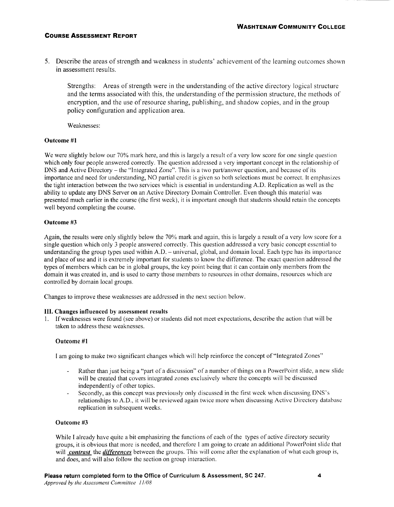5. Describe the areas of strength and weakness in students' achievement of the learning outcomes shown in assessment results.

Strengths: Areas of strength were in the understanding of the active directory logical structure and the terms associated with this, the understanding of the permission structure, the methods of encryption, and the use of resource sharing, publishing, and shadow copies, and in the group policy configuration and application area.

Weaknesses:

### Outcome #1

We were slightly below our 70% mark here, and this is largely a result of a very low score for one single question which only four people answered correctly. The question addressed a very important concept in the relationship of DNS and Active Directory - the "Integrated Zone". This is a two part/answer question, and because of its importance and need for understanding, NO partial credit is given so both selections must be correct. It emphasizes the tight interaction between the two services which is essential in understanding A.D. Replication as well as the ability to update any DNS Server on an Active Directory Domain Controller. Even though this material was presented much earlier in the course (the first week), it is important enough that students should retain the concepts well beyond completing the course.

# Outcome #3

Again, the results were only slightly below the 70% mark and again, this is largely a result of a very low score for a single question which only 3 people answered correctly. This question addressed a very basic concept essential to understanding the group types used within A.D.- universal, global, and domain local. Each type has its importance and place of use and it is extremely important for students to know the difference. The exact question addressed the types of members which can be in global groups, the key point being that it can contain only members from the domain it was created in, and is used to carry those members to resources in other domains, resources which are controlled by domain local groups.

Changes to improve these weaknesses are addressed in the next section below.

# Ill. Changes influenced by assessment results

1. If weaknesses were found (see above) or students did not meet expectations, describe the action that will be taken to address these weaknesses.

# Outcome #1

I am going to make two significant changes which will help reinforce the concept of"lntegrated Zones"

- Rather than just being a "part of a discussion" of a number of things on a PowerPoint slide, a new slide will be created that covers integrated zones exclusively where the concepts will be discussed independently of other topics.
- Secondly, as this concept was previously only discussed in the first week when discussing DNS 's relationships to A.D., it will be reviewed again twice more when discussing Active Directory database replication in subsequent weeks.

## Outcome #3

While I already have quite a bit emphasizing the functions of each of the types of active directory security groups, it is obvious that more is needed, and therefore I am going to create an additional PowerPoint slide that will *contrast* the *differences* between the groups. This will come after the explanation of what each group is, and does, and will also follow the section on group interaction.

*Approved by the Assessment Committee 11/08*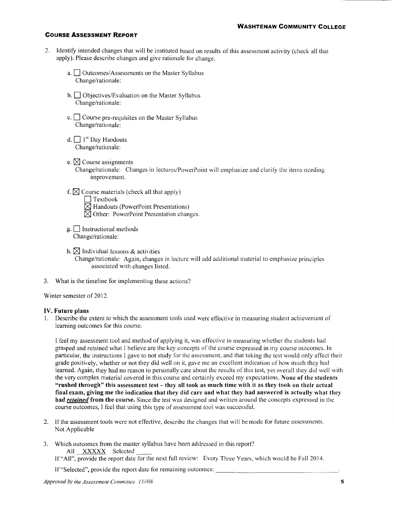- 2. IdentifY intended changes that will be instituted based on results of this assessment activity (check all that apply). Please describe changes and give rationale for change.
	- a.  $\Box$  Outcomes/Assessments on the Master Syllabus Change/rationale:
	- b.  $\Box$  Objectives/Evaluation on the Master Syllabus Change/rationale:
	- c.  $\Box$  Course pre-requisites on the Master Syllabus Change/rationale:
	- d.  $\Box$  1<sup>st</sup> Day Handouts Change/rationale:
	- e.  $\boxtimes$  Course assignments Change/rationale: Changes in lectures/PowerPoint will emphasize and clarity the items needing improvement.
	- f.  $\boxtimes$  Course materials (check all that apply)  $\Box$  Textbook  $\overline{\boxtimes}$  Handouts (PowerPoint Presentations)  $\boxtimes$  Other: PowerPoint Presentation changes.
	- $g.$  Instructional methods Change/rationale:
	- h.  $\boxtimes$  Individual lessons & activities Change/rationale: Again, changes in lecture will add additional material to emphasize principles associated with changes listed.
- 3. What is the timeline for implementing these actions?

Winter semester of 2012.

#### IV. Future plans

1. Describe the extent to which the assessment tools used were effective in measuring student achievement of learning outcomes for this course.

I feel my assessment tool and method of applying it, was effective in measuring whether the students had grasped and retained what I believe are the key concepts of the course expressed in my course outcomes. In particular, the instructions I gave to not study for the assessment, and that taking the test would only affect their grade positively, whether or not they did well on it, gave me an excellent indication of how much they had learned. Again, they had no reason to personally care about the results of this test, yet overall they did well with the very complex material covered in this course and certainly exceed my expectations. None of the students "rushed through" this assessment test- they all took as much time with it as they took on their actual final exam, giving me the indication that they did care and what they had answered is actually what they had *retained* from the course. Since the test was designed and written around the concepts expressed in the course outcomes, I feel that using this type of assessment tool was successful.

- 2. If the assessment tools were not effective, describe the changes that will be made for future assessments. Not Applicable
- 3. Which outcomes from the master syllabus have been addressed in this report? All XXXXX Selected

lf"All", provide the report date for the next full review: Every Three Years, which would be Fall 2014.

If "Selected", provide the report date for remaining outcomes: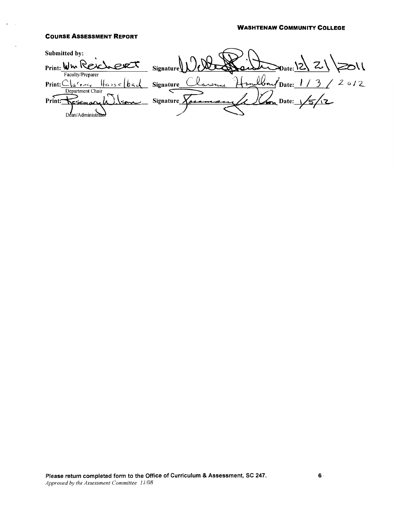#### WASHTENAW COMMUNITY COLLEGE

### COURSE ASSESSMENT REPORT

Submitted by: Print: Who Reve  $1/c$ CIRT Signature Faculty/Preparer lbour Date: <u>1/3/</u> 2012 larence  $\{ \cdot \}$  $+$  pm  $Print: \mathcal{C} \setminus \mathcal{C}$  $H$ asse $\lfloor$ bac Signature\_ Department Chair Signature  $\sqrt{24}$  $\sqrt{5/2}$ Print: مسحت Dean/Administra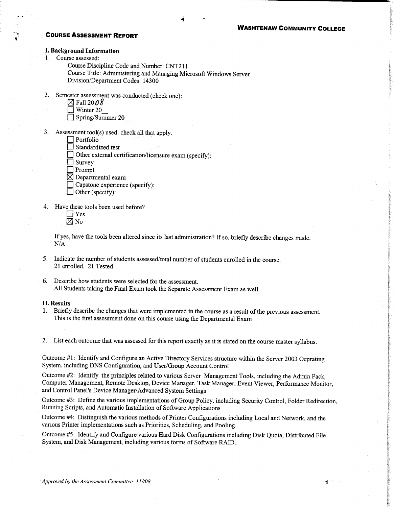#### **I. Background Information**

- 1. Course assessed:
	- Course Discipline Code and Number: CNT211 Course Title: Administering and Managing Microsoft Windows Server Division/Department Codes: 14300
- 2. Semester assessment was conducted (check one):
	- $\boxtimes$  Fall 2008
	- $\sqrt{ }$  Winter 20
	- $\Box$  Spring/Summer 20
- 3. Assessment tool(s) used: check all that apply.
	- $\Box$  Portfolio
	- Standardized test
	- Other external certification/licensure exam (specify):
	- Survey
	- $\exists$  Prompt
	- $\boxtimes$  Departmental exam
	- Capstone experience (specify):
	- $\Box$  Other (specify):
- 4. Have these tools been used before?
	- $\Box$  Yes  $\boxtimes$  No

If yes, have the tools been altered since its last administration? If so, briefly describe changes made.  $N/A$ 

- 5. Indicate the number of students assessed/total number of students enrolled in the course. 21 enrolled, 21 Tested
- 6. Describe how students were selected for the assessment. All Students taking the Final Exam took the Separate Assessment Exam as well.

### **II. Results**

1. Briefly describe the changes that were implemented in the course as a result of the previous assessment. This is the first assessment done on this course using the Departmental Exam

2. List each outcome that was assessed for this report exactly as it is stated on the course master syllabus.

Outcome #1: Identify and Configure an Active Directory Services structure within the Server 2003 Oeprating System. including DNS Configuration, and User/Group Account Control

Outcome #2: Identify the principles related to various Server Management Tools, including the Admin Pack, Computer Management, Remote Desktop, Device Manager, Task Manager, Event Viewer, Performance Monitor, and Control Panel's Device Manager/Advanced System Settings

Outcome #3: Define the various implementations of Group Policy, including Security Control, Folder Redirection, Running Scripts, and Automatic Installation of Software Applications

Outcome #4: Distinguish the various methods of Printer Configurations including Local and Network, and the various Printer implementations such as Priorities, Scheduling, and Pooling.

Outcome #5: Identify and Configure various Hard Disk Configurations including Disk Quota, Distributed File System, and Disk Management, including various forms of Software RAID..

1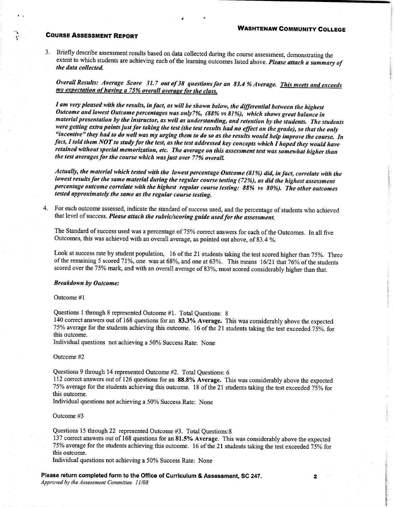3. Briefly describe assessment results based on data collected during the course assessment, demonstrating the extent to which students are achieving each of the learning outcomes listed above. Please attach a summary of the data collected.

Overall Results: Average Score 31.7 out of 38 questions for an 83.4 % Average. This meets and exceeds my expectation of having a 75% overall average for the class.

I am very pleased with the results, in fact, as will be shown below, the differential between the highest Outcome and lowest Outcome percentages was only7%, (88% vs 81%), which shows great balance in material presentation by the instructor, as well as understanding, and retention by the students. The students were getting extra points just for taking the test (the test results had no effect on the grade), so that the only "incentive" they had to do well was my urging them to do so as the results would help improve the course. In fact, I told them NOT to study for the test, as the test addressed key concepts which  $\hat{I}$  hoped they would have retained without special memorization, etc. The average on this assessment test was somewhat higher than the test averages for the course which was just over 77% overall.

Actually, the material which tested with the lowest percentage Outcome (81%) did, in fact, correlate with the lowest results for the same material during the regular course testing (72%), as did the highest assessment percentage outcome correlate with the highest regular course testing: 88% vs 80%). The other outcomes tested approximately the same as the regular course testing.

4. For each outcome assessed, indicate the standard of success used, and the percentage of students who achieved that level of success. Please attach the rubric/scoring guide used for the assessment.

The Standard of success used was a percentage of 75% correct answers for each of the Outcomes. In all five Outcomes, this was achieved with an overall average, as pointed out above, of 83.4 %.

Look at success rate by student population, 16 of the 21 students taking the test scored higher than 75%. Three of the remaining 5 scored 71%, one was at 68%, and one at 63%. This means 16/21 that 76% of the students scored over the 75% mark, and with an overall average of 83%, most scored considerably higher than that.

#### **Breakdown by Outcome:**

Outcome #1

Questions 1 through 8 represented Outcome #1. Total Questions: 8

140 correct answers out of 168 questions for an 83.3% Average. This was considerably above the expected 75% average for the students achieving this outcome. 16 of the 21 students taking the test exceeded 75%. for this outcome.

Individual questions not achieving a 50% Success Rate: None

#### Outcome #2

Questions 9 through 14 represented Outcome #2. Total Questions: 6

112 correct answers out of 126 questions for an 88.8% Average. This was considerably above the expected 75% average for the students achieving this outcome. 18 of the 21 students taking the test exceeded 75% for this outcome.

Individual questions not achieving a 50% Success Rate: None

Outcome #3

Questions 15 through 22 represented Outcome #3. Total Ouestions: 8

137 correct answers out of 168 questions for an 81.5% Average. This was considerably above the expected 75% average for the students achieving this outcome. 16 of the 21 students taking the test exceeded 75% for this outcome.

Individual questions not achieving a 50% Success Rate: None

Please return completed form to the Office of Curriculum & Assessment, SC 247.

Approved by the Assessment Committee 11/08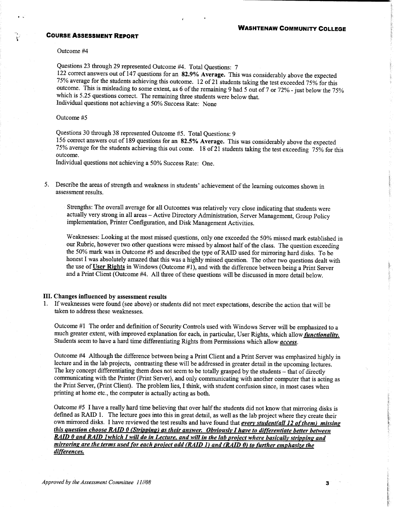Outcome #4

Questions 23 through 29 represented Outcome #4. Total Questions: 7

122 correct answers out of 147 questions for an 82.9% Average. This was considerably above the expected 75% average for the students achieving this outcome. 12 of 21 students taking the test exceeded 75% for this outcome. This is misleading to some extent, as 6 of the remaining 9 had 5 out of 7 or 72% - just below the 75% which is 5.25 questions correct. The remaining three students were below that. Individual questions not achieving a 50% Success Rate: None

#### Outcome #5

Questions 30 through 38 represented Outcome #5. Total Questions: 9

156 correct answers out of 189 questions for an 82.5% Average. This was considerably above the expected 75% average for the students achieving this out come. 18 of 21 students taking the test exceeding 75% for this outcome.

Individual questions not achieving a 50% Success Rate: One.

5. Describe the areas of strength and weakness in students' achievement of the learning outcomes shown in assessment results.

Strengths: The overall average for all Outcomes was relatively very close indicating that students were actually very strong in all areas - Active Directory Administration, Server Management, Group Policy implementation, Printer Configuration, and Disk Management Activities.

Weaknesses: Looking at the most missed questions, only one exceeded the 50% missed mark established in our Rubric, however two other questions were missed by almost half of the class. The question exceeding the 50% mark was in Outcome #5 and described the type of RAID used for mirroring hard disks. To be honest I was absolutely amazed that this was a highly missed question. The other two questions dealt with the use of User Rights in Windows (Outcome #1), and with the difference between being a Print Server and a Print Client (Outcome #4. All three of these questions will be discussed in more detail below.

### III. Changes influenced by assessment results

1. If weaknesses were found (see above) or students did not meet expectations, describe the action that will be taken to address these weaknesses.

Outcome #1 The order and definition of Security Controls used with Windows Server will be emphasized to a much greater extent, with improved explanation for each, in particular, User Rights, which allow functionality. Students seem to have a hard time differentiating Rights from Permissions which allow access.

Outcome #4 Although the difference between being a Print Client and a Print Server was emphasized highly in lecture and in the lab projects, contrasting these will be addressed in greater detail in the upcoming lectures. The key concept differentiating them does not seem to be totally grasped by the students - that of directly communicating with the Printer (Print Server), and only communicating with another computer that is acting as the Print Server, (Print Client). The problem lies, I think, with student confusion since, in most cases when printing at home etc., the computer is actually acting as both.

Outcome #5 I have a really hard time believing that over half the students did not know that mirroring disks is defined as RAID 1. The lecture goes into this in great detail, as well as the lab project where they create their own mirrored disks. I have reviewed the test results and have found that every student(all 12 of them) missing this question choose RAID 0 (Stripping) as their answer. Obviously I have to differentiate better between RAID 0 and RAID 1which I will do in Lecture, and will in the lab project where basically stripping and mirroring are the terms used for each project add (RAID 1) and (RAID 0) to further emphasize the differences.

3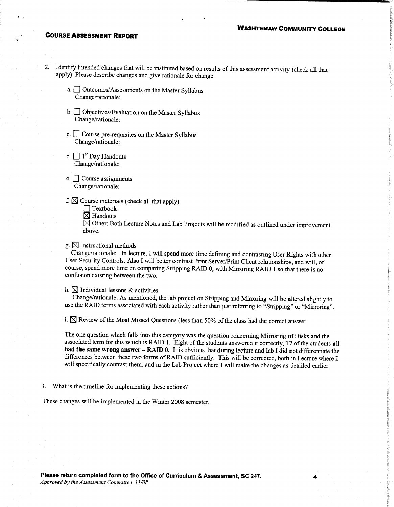- Identify intended changes that will be instituted based on results of this assessment activity (check all that 2. apply). Please describe changes and give rationale for change.
	- a. <u>Outcomes/Assessments</u> on the Master Syllabus Change/rationale:
	- b. Objectives/Evaluation on the Master Syllabus Change/rationale:
	- c.  $\Box$  Course pre-requisites on the Master Syllabus Change/rationale:
	- d.  $\Box$  1<sup>st</sup> Day Handouts Change/rationale:
	- e.  $\Box$  Course assignments Change/rationale:
	- f.  $\boxtimes$  Course materials (check all that apply)
		- $\Box$  Textbook  $\boxtimes$  Handouts
		-

 $\overline{\boxtimes}$  Other: Both Lecture Notes and Lab Projects will be modified as outlined under improvement above.

 $g \in \mathbb{Z}$  Instructional methods

Change/rationale: In lecture, I will spend more time defining and contrasting User Rights with other User Security Controls. Also I will better contrast Print Server/Print Client relationships, and will, of course, spend more time on comparing Stripping RAID 0, with Mirroring RAID 1 so that there is no confusion existing between the two.

#### h.  $\boxtimes$  Individual lessons & activities

Change/rationale: As mentioned, the lab project on Stripping and Mirroring will be altered slightly to use the RAID terms associated with each activity rather than just referring to "Stripping" or "Mirroring".

i.  $\boxtimes$  Review of the Most Missed Questions (less than 50% of the class had the correct answer.

The one question which falls into this category was the question concerning Mirroring of Disks and the associated term for this which is RAID 1. Eight of the students answered it correctly, 12 of the students all had the same wrong answer - RAID 0. It is obvious that during lecture and lab I did not differentiate the differences between these two forms of RAID sufficiently. This will be corrected, both in Lecture where I will specifically contrast them, and in the Lab Project where I will make the changes as detailed earlier.

3. What is the timeline for implementing these actions?

These changes will be implemented in the Winter 2008 semester.